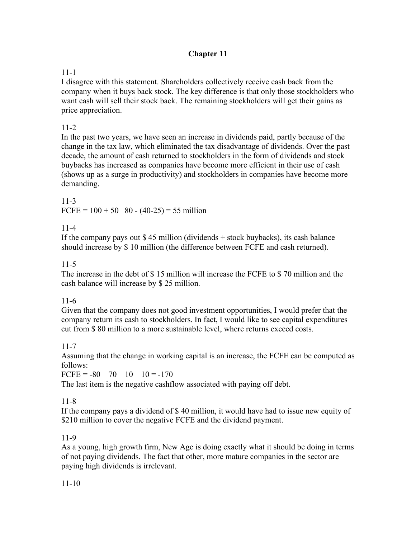# **Chapter 11**

## 11-1

I disagree with this statement. Shareholders collectively receive cash back from the company when it buys back stock. The key difference is that only those stockholders who want cash will sell their stock back. The remaining stockholders will get their gains as price appreciation.

## 11-2

In the past two years, we have seen an increase in dividends paid, partly because of the change in the tax law, which eliminated the tax disadvantage of dividends. Over the past decade, the amount of cash returned to stockholders in the form of dividends and stock buybacks has increased as companies have become more efficient in their use of cash (shows up as a surge in productivity) and stockholders in companies have become more demanding.

11-3 FCFE =  $100 + 50 - 80 - (40-25) = 55$  million

## 11-4

If the company pays out \$ 45 million (dividends + stock buybacks), its cash balance should increase by \$ 10 million (the difference between FCFE and cash returned).

#### 11-5

The increase in the debt of \$ 15 million will increase the FCFE to \$ 70 million and the cash balance will increase by \$ 25 million.

## 11-6

Given that the company does not good investment opportunities, I would prefer that the company return its cash to stockholders. In fact, I would like to see capital expenditures cut from \$ 80 million to a more sustainable level, where returns exceed costs.

## 11-7

Assuming that the change in working capital is an increase, the FCFE can be computed as follows:

 $FCFE = -80 - 70 - 10 - 10 = -170$ 

The last item is the negative cashflow associated with paying off debt.

## 11-8

If the company pays a dividend of \$ 40 million, it would have had to issue new equity of \$210 million to cover the negative FCFE and the dividend payment.

## 11-9

As a young, high growth firm, New Age is doing exactly what it should be doing in terms of not paying dividends. The fact that other, more mature companies in the sector are paying high dividends is irrelevant.

## 11-10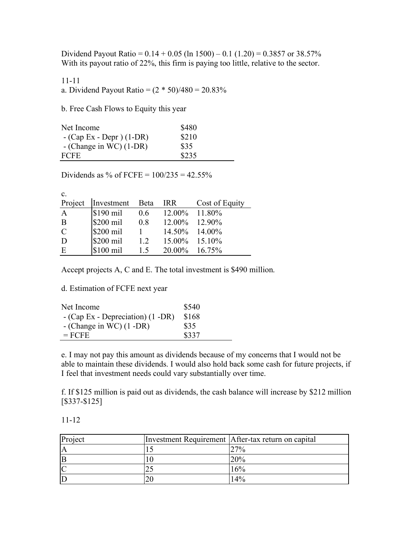Dividend Payout Ratio =  $0.14 + 0.05$  (ln 1500) – 0.1 (1.20) = 0.3857 or 38.57% With its payout ratio of 22%, this firm is paying too little, relative to the sector.

11-11 a. Dividend Payout Ratio =  $(2 * 50)/480 = 20.83\%$ 

b. Free Cash Flows to Equity this year

| Net Income                | \$480 |
|---------------------------|-------|
| $-(Cap Ex - Depr) (1-DR)$ | \$210 |
| $-$ (Change in WC) (1-DR) | \$35  |
| <b>FCFE</b>               | \$235 |

Dividends as % of FCFE =  $100/235 = 42.55%$ 

| $\mathbf{c}$ . |            |             |                  |                |
|----------------|------------|-------------|------------------|----------------|
| Project        | Investment | <b>Beta</b> | <b>IRR</b>       | Cost of Equity |
| $\mathbf{A}$   | $$190$ mil | 0.6         | 12.00% 11.80%    |                |
| B              | \$200 mil  | 0.8         | $12.00\%$ 12.90% |                |
| $\overline{C}$ | \$200 mil  |             | 14.50% 14.00%    |                |
| D              | \$200 mil  | 1.2         | $15.00\%$ 15.10% |                |
| E              | \$100 mil  | 15          | 20.00% 16.75%    |                |

Accept projects A, C and E. The total investment is \$490 million.

d. Estimation of FCFE next year

| Net Income                             | \$540 |
|----------------------------------------|-------|
| $-$ (Cap Ex - Depreciation) $(1 - DR)$ | \$168 |
| - (Change in WC) $(1 - DR)$            | \$35  |
| $=$ FCFE                               | \$337 |

e. I may not pay this amount as dividends because of my concerns that I would not be able to maintain these dividends. I would also hold back some cash for future projects, if I feel that investment needs could vary substantially over time.

f. If \$125 million is paid out as dividends, the cash balance will increase by \$212 million [\$337-\$125]

11-12

| Project | Investment Requirement After-tax return on capital |
|---------|----------------------------------------------------|
|         | 27%                                                |
| ΙB      | 20%                                                |
|         | 16%                                                |
|         | 14%                                                |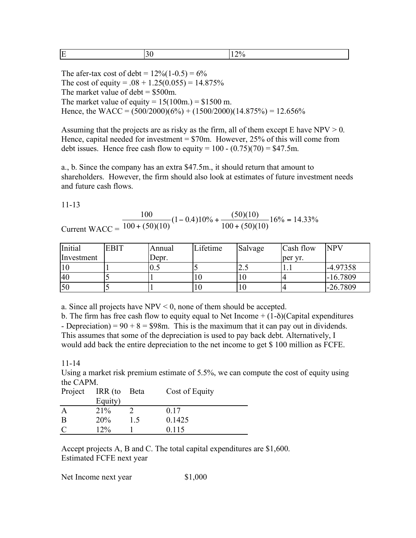|  | _ |  |  |
|--|---|--|--|
|--|---|--|--|

The afer-tax cost of debt =  $12\% (1-0.5) = 6\%$ The cost of equity =  $.08 + 1.25(0.055) = 14.875\%$ The market value of debt  $=$  \$500m. The market value of equity =  $15(100m.) = $1500 m$ . Hence, the WACC =  $(500/2000)(6\%) + (1500/2000)(14.875\%) = 12.656\%$ 

Assuming that the projects are as risky as the firm, all of them except E have  $NPV > 0$ . Hence, capital needed for investment  $= $70$ m. However, 25% of this will come from debt issues. Hence free cash flow to equity =  $100 - (0.75)(70) = $47.5$ m.

a., b. Since the company has an extra \$47.5m., it should return that amount to shareholders. However, the firm should also look at estimates of future investment needs and future cash flows.

11-13

Current WACC = 100  $100 + (50)(10$  $1 - 0.410\% + \frac{(50)(10}{100})$  $100 + (50)(10$  $16\% = 14.33\%$ +  $-$  0.4)10% + + =  $(50)(10)$  $(1 - 0.4)10\% + \frac{(50)(10)}{(10)(10)}$  $(50)(10)$ .

| Initial    | <b>EBIT</b> | Annual | Lifetime | Salvage | Cash flow | <b>NPV</b> |
|------------|-------------|--------|----------|---------|-----------|------------|
| Investment |             | Depr.  |          |         | per yr.   |            |
| 10         |             |        |          | ن ک     |           | $-4.97358$ |
| 40         |             |        |          | 10      |           | $-16.7809$ |
| 50         |             |        |          | 10      |           | $-26.7809$ |

a. Since all projects have  $NPV < 0$ , none of them should be accepted.

b. The firm has free cash flow to equity equal to Net Income  $+(1-\delta)(\text{Capital expenditures})$ - Depreciation) =  $90 + 8 = $98$ m. This is the maximum that it can pay out in dividends. This assumes that some of the depreciation is used to pay back debt. Alternatively, I would add back the entire depreciation to the net income to get \$ 100 million as FCFE.

11-14

Using a market risk premium estimate of 5.5%, we can compute the cost of equity using the CAPM.

| Project       | IRR (to | Beta | Cost of Equity |
|---------------|---------|------|----------------|
|               | Equity) |      |                |
| $\mathbf{A}$  | 21%     |      | 0.17           |
| B             | 20%     | 1.5  | 0.1425         |
| $\mathcal{C}$ | 12%     |      | 0.115          |

Accept projects A, B and C. The total capital expenditures are \$1,600. Estimated FCFE next year

Net Income next year \$1,000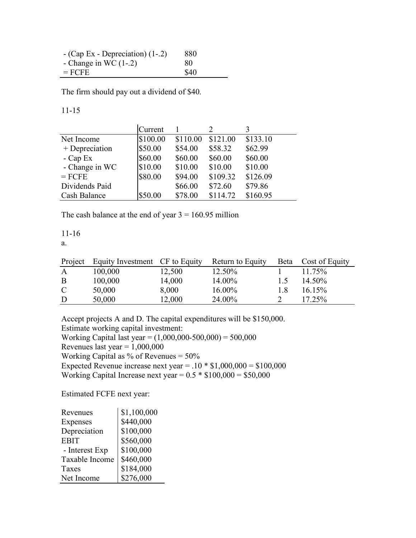| $-(Cap Ex - Depreciation)$ (1-.2) | 880         |
|-----------------------------------|-------------|
| - Change in WC $(1-.2)$           | 80          |
| $=$ FCFE                          | <b>\$40</b> |

The firm should pay out a dividend of \$40.

11-15

|                | Current  |          |          |          |
|----------------|----------|----------|----------|----------|
| Net Income     | \$100.00 | \$110.00 | \$121.00 | \$133.10 |
| + Depreciation | \$50.00  | \$54.00  | \$58.32  | \$62.99  |
| $-Cap Ex$      | \$60.00  | \$60.00  | \$60.00  | \$60.00  |
| - Change in WC | \$10.00  | \$10.00  | \$10.00  | \$10.00  |
| $=$ FCFE       | \$80.00  | \$94.00  | \$109.32 | \$126.09 |
| Dividends Paid |          | \$66.00  | \$72.60  | \$79.86  |
| Cash Balance   | \$50.00  | \$78.00  | \$114.72 | \$160.95 |

The cash balance at the end of year  $3 = 160.95$  million

11-16

a.

|               | Project Equity Investment CF to Equity |        | Return to Equity |                  | Beta Cost of Equity |
|---------------|----------------------------------------|--------|------------------|------------------|---------------------|
| A             | 100,000                                | 12,500 | 12.50%           |                  | 11.75%              |
| B             | 100,000                                | 14,000 | 14.00%           | $\overline{1.5}$ | 14.50%              |
| $\mathcal{C}$ | 50,000                                 | 8,000  | 16.00%           | 1.8              | $16.15\%$           |
| D             | 50,000                                 | 12,000 | 24.00%           |                  | 17.25%              |

Accept projects A and D. The capital expenditures will be \$150,000. Estimate working capital investment: Working Capital last year =  $(1,000,000-500,000) = 500,000$ Revenues last year =  $1,000,000$ Working Capital as % of Revenues = 50% Expected Revenue increase next year =  $.10 * $1,000,000 = $100,000$ Working Capital Increase next year =  $0.5 * $100,000 = $50,000$ 

Estimated FCFE next year:

| Revenues        | \$1,100,000 |
|-----------------|-------------|
| <b>Expenses</b> | \$440,000   |
| Depreciation    | \$100,000   |
| <b>EBIT</b>     | \$560,000   |
| - Interest Exp  | \$100,000   |
| Taxable Income  | \$460,000   |
| Taxes           | \$184,000   |
| Net Income      | \$276,000   |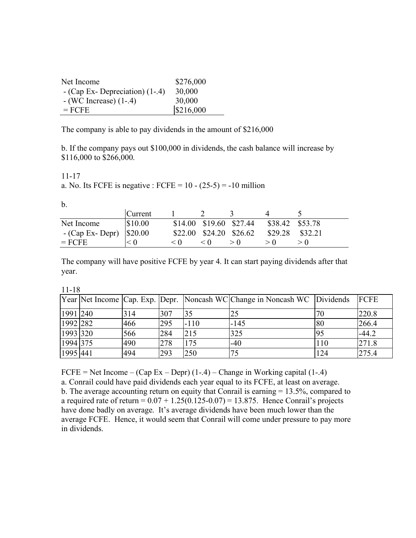| Net Income                       | \$276,000 |
|----------------------------------|-----------|
| $-$ (Cap Ex-Depreciation) (1-.4) | 30,000    |
| $-(WC$ Increase $)(1-.4)$        | 30,000    |
| $=$ FCFE                         | \$216,000 |

The company is able to pay dividends in the amount of \$216,000

b. If the company pays out \$100,000 in dividends, the cash balance will increase by \$116,000 to \$266,000.

11-17

a. No. Its FCFE is negative : FCFE =  $10 - (25-5) = -10$  million

b.

|                                  | <b>Current</b> |     |                         |                 |         |
|----------------------------------|----------------|-----|-------------------------|-----------------|---------|
| Net Income                       | \$10.00        |     | \$14.00 \$19.60 \$27.44 | \$38.42 \$53.78 |         |
| - (Cap Ex- Depr) $\vert$ \$20.00 |                |     | \$22.00 \$24.20 \$26.62 | \$29.28         | \$32.21 |
| $=$ FCFE                         |                | < 0 | < 0                     |                 |         |

The company will have positive FCFE by year 4. It can start paying dividends after that year.

11-18

|          |     |     |        | Year Net Income Cap. Exp. Depr. Noncash WC Change in Noncash WC Dividends |     | <b>IFCFE</b> |
|----------|-----|-----|--------|---------------------------------------------------------------------------|-----|--------------|
| 1991 240 | 314 | 307 | 35     | 25                                                                        | 70  | 220.8        |
| 1992 282 | 466 | 295 | $-110$ | $-145$                                                                    | 80  | 266.4        |
| 1993 320 | 566 | 284 | 215    | 325                                                                       | 95  | $-44.2$      |
| 1994 375 | 490 | 278 | 175    | $-40$                                                                     | 110 | 271.8        |
| 1995 441 | 494 | 293 | 250    | 75                                                                        | 124 | 275.4        |

FCFE = Net Income – (Cap Ex – Depr)  $(1-4)$  – Change in Working capital  $(1-4)$ 

a. Conrail could have paid dividends each year equal to its FCFE, at least on average. b. The average accounting return on equity that Conrail is earning = 13.5%, compared to a required rate of return =  $0.07 + 1.25(0.125 - 0.07) = 13.875$ . Hence Conrail's projects have done badly on average. It's average dividends have been much lower than the average FCFE. Hence, it would seem that Conrail will come under pressure to pay more in dividends.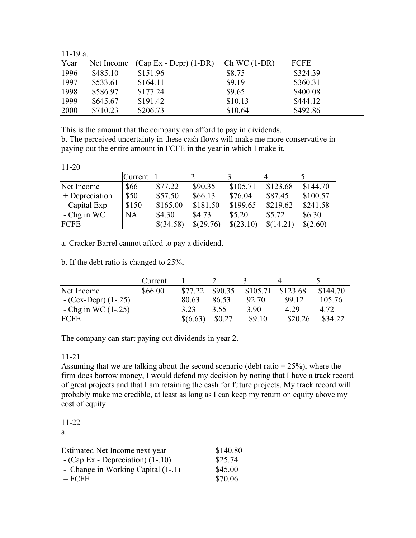| $11-19a$ . |            |                          |               |             |
|------------|------------|--------------------------|---------------|-------------|
| Year       | Net Income | $(Cap Ex - Depr) (1-DR)$ | $Ch WC(1-DR)$ | <b>FCFE</b> |
| 1996       | \$485.10   | \$151.96                 | \$8.75        | \$324.39    |
| 1997       | \$533.61   | \$164.11                 | \$9.19        | \$360.31    |
| 1998       | \$586.97   | \$177.24                 | \$9.65        | \$400.08    |
| 1999       | \$645.67   | \$191.42                 | \$10.13       | \$444.12    |
| 2000       | \$710.23   | \$206.73                 | \$10.64       | \$492.86    |

This is the amount that the company can afford to pay in dividends.

b. The perceived uncertainty in these cash flows will make me more conservative in paying out the entire amount in FCFE in the year in which I make it.

11-20

|                | Current |           |           |           |           |          |
|----------------|---------|-----------|-----------|-----------|-----------|----------|
| Net Income     | \$66    | \$77.22   | \$90.35   | \$105.71  | \$123.68  | \$144.70 |
| + Depreciation | \$50    | \$57.50   | \$66.13   | \$76.04   | \$87.45   | \$100.57 |
| - Capital Exp  | \$150   | \$165.00  | \$181.50  | \$199.65  | \$219.62  | \$241.58 |
| $-$ Chg in WC  | NA      | \$4.30    | \$4.73    | \$5.20    | \$5.72    | \$6.30   |
| FCFE           |         | \$(34.58) | \$(29.76) | \$(23.10) | \$(14.21) | \$(2.60) |

a. Cracker Barrel cannot afford to pay a dividend.

b. If the debt ratio is changed to 25%,

|                       | Current |          |         |          |          |          |
|-----------------------|---------|----------|---------|----------|----------|----------|
| Net Income            | \$66.00 | \$77.22  | \$90.35 | \$105.71 | \$123.68 | \$144.70 |
| $-(Cex-Depr)(1-.25)$  |         | 80.63    | 86.53   | 92.70    | 99 12    | 105.76   |
| - Chg in WC $(1-.25)$ |         | 3 2 3    | 3.55    | 3.90     | 4 29     | 4.72     |
| <b>FCFE</b>           |         | \$(6.63) | \$0.27  | \$9.10   | \$20.26  | \$34.22  |

The company can start paying out dividends in year 2.

#### 11-21

Assuming that we are talking about the second scenario (debt ratio  $= 25\%$ ), where the firm does borrow money, I would defend my decision by noting that I have a track record of great projects and that I am retaining the cash for future projects. My track record will probably make me credible, at least as long as I can keep my return on equity above my cost of equity.

11-22

a.

| Estimated Net Income next year      | \$140.80 |
|-------------------------------------|----------|
| $-$ (Cap Ex - Depreciation) (1-.10) | \$25.74  |
| - Change in Working Capital (1-.1)  | \$45.00  |
| $=$ FCFE                            | \$70.06  |
|                                     |          |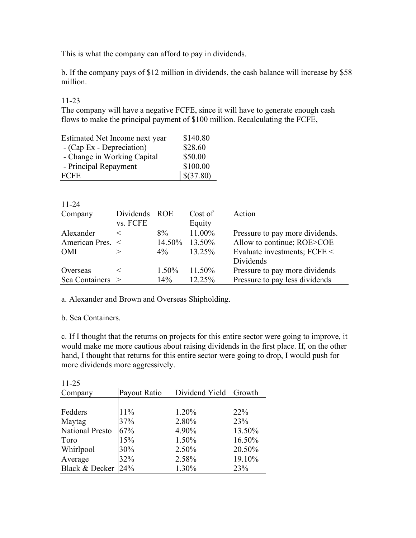This is what the company can afford to pay in dividends.

b. If the company pays of \$12 million in dividends, the cash balance will increase by \$58 million.

#### 11-23

The company will have a negative FCFE, since it will have to generate enough cash flows to make the principal payment of \$100 million. Recalculating the FCFE,

| Estimated Net Income next year | \$140.80  |
|--------------------------------|-----------|
| - (Cap Ex - Depreciation)      | \$28.60   |
| - Change in Working Capital    | \$50.00   |
| - Principal Repayment          | \$100.00  |
| <b>FCFE</b>                    | \$(37.80) |

| $11 - 24$        |               |        |         |                                 |
|------------------|---------------|--------|---------|---------------------------------|
| Company          | Dividends ROE |        | Cost of | Action                          |
|                  | vs. FCFE      |        | Equity  |                                 |
| Alexander        | $\,<\,$       | 8%     | 11.00%  | Pressure to pay more dividends. |
| American Pres. < |               | 14.50% | 13.50%  | Allow to continue; ROE>COE      |
| <b>OMI</b>       |               | $4\%$  | 13.25%  | Evaluate investments; FCFE <    |
|                  |               |        |         | Dividends                       |
| Overseas         | $\,<\,$       | 1.50%  | 11.50%  | Pressure to pay more dividends  |
| Sea Containers > |               | 14%    | 12.25%  | Pressure to pay less dividends  |

a. Alexander and Brown and Overseas Shipholding.

#### b. Sea Containers.

c. If I thought that the returns on projects for this entire sector were going to improve, it would make me more cautious about raising dividends in the first place. If, on the other hand, I thought that returns for this entire sector were going to drop, I would push for more dividends more aggressively.

| $11 - 25$       |              |                |                 |
|-----------------|--------------|----------------|-----------------|
| Company         | Payout Ratio | Dividend Yield | Growth          |
|                 |              |                |                 |
| Fedders         | 11%          | 1.20%          | 22 <sup>%</sup> |
| Maytag          | 37%          | 2.80%          | 23%             |
| National Presto | 67%          | 4.90%          | 13.50%          |
| Toro            | 15%          | 1.50%          | 16.50%          |
| Whirlpool       | 30%          | 2.50%          | 20.50%          |
| Average         | 32%          | 2.58%          | 19.10%          |
| Black & Decker  | 24%          | 1.30%          | 23%             |